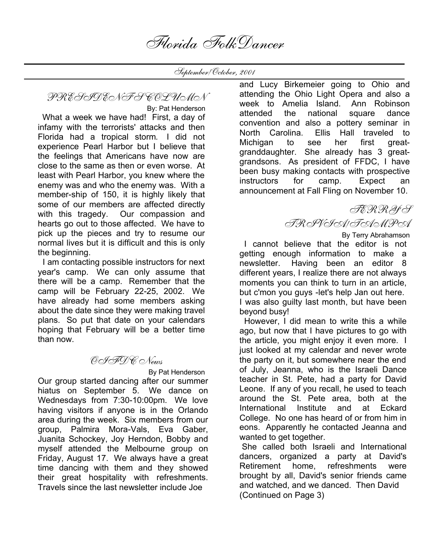Florida FolkDancer

September/October, 2001

PRESIDENT'S COLUMN

 By: Pat Henderson What a week we have had! First, a day of infamy with the terrorists' attacks and then Florida had a tropical storm. I did not experience Pearl Harbor but I believe that the feelings that Americans have now are close to the same as then or even worse. At least with Pearl Harbor, you knew where the enemy was and who the enemy was. With a member-ship of 150, it is highly likely that some of our members are affected directly with this tragedy. Our compassion and hearts go out to those affected. We have to pick up the pieces and try to resume our normal lives but it is difficult and this is only the beginning.

 I am contacting possible instructors for next year's camp. We can only assume that there will be a camp. Remember that the camp will be February 22-25, 2002. We have already had some members asking about the date since they were making travel plans. So put that date on your calendars hoping that February will be a better time than now.

### OIFDC News

By Pat Henderson

Our group started dancing after our summer hiatus on September 5. We dance on Wednesdays from 7:30-10:00pm. We love having visitors if anyone is in the Orlando area during the week. Six members from our group, Palmira Mora-Vals, Eva Gaber, Juanita Schockey, Joy Herndon, Bobby and myself attended the Melbourne group on Friday, August 17. We always have a great time dancing with them and they showed their great hospitality with refreshments. Travels since the last newsletter include Joe

and Lucy Birkemeier going to Ohio and attending the Ohio Light Opera and also a week to Amelia Island. Ann Robinson attended the national square dance convention and also a pottery seminar in North Carolina. Ellis Hall traveled to Michigan to see her first greatgranddaughter. She already has 3 greatgrandsons. As president of FFDC, I have been busy making contacts with prospective instructors for camp. Expect an announcement at Fall Fling on November 10.

TERRY'S

TRIVIA/TAMPA

 By Terry Abrahamson I cannot believe that the editor is not getting enough information to make a newsletter. Having been an editor 8 different years, I realize there are not always moments you can think to turn in an article, but c'mon you guys -let's help Jan out here. I was also guilty last month, but have been beyond busy!

 However, I did mean to write this a while ago, but now that I have pictures to go with the article, you might enjoy it even more. I just looked at my calendar and never wrote the party on it, but somewhere near the end of July, Jeanna, who is the Israeli Dance teacher in St. Pete, had a party for David Leone. If any of you recall, he used to teach around the St. Pete area, both at the International Institute and at Eckard College. No one has heard of or from him in eons. Apparently he contacted Jeanna and wanted to get together.

She called both Israeli and International dancers, organized a party at David's Retirement home, refreshments were brought by all, David's senior friends came and watched, and we danced. Then David (Continued on Page 3)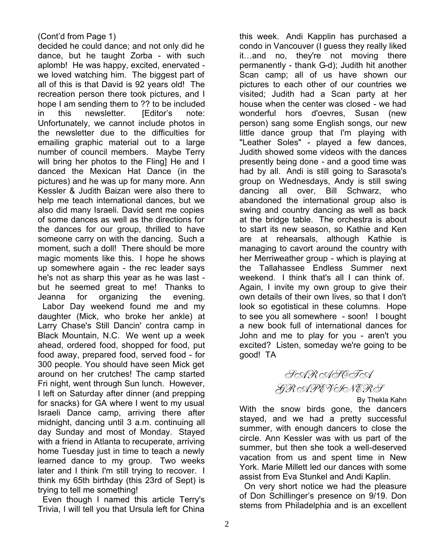#### (Cont'd from Page 1)

decided he could dance; and not only did he dance, but he taught Zorba - with such aplomb! He was happy, excited, enervated we loved watching him. The biggest part of all of this is that David is 92 years old! The recreation person there took pictures, and I hope I am sending them to ?? to be included in this newsletter. [Editor's note: Unfortunately, we cannot include photos in the newsletter due to the difficulties for emailing graphic material out to a large number of council members. Maybe Terry will bring her photos to the Fling] He and I danced the Mexican Hat Dance (in the pictures) and he was up for many more. Ann Kessler & Judith Baizan were also there to help me teach international dances, but we also did many Israeli. David sent me copies of some dances as well as the directions for the dances for our group, thrilled to have someone carry on with the dancing. Such a moment, such a doll! There should be more magic moments like this. I hope he shows up somewhere again - the rec leader says he's not as sharp this year as he was last but he seemed great to me! Thanks to Jeanna for organizing the evening. Labor Day weekend found me and my daughter (Mick, who broke her ankle) at Larry Chase's Still Dancin' contra camp in Black Mountain, N.C. We went up a week ahead, ordered food, shopped for food, put food away, prepared food, served food - for 300 people. You should have seen Mick get around on her crutches! The camp started Fri night, went through Sun lunch. However, I left on Saturday after dinner (and prepping for snacks) for GA where I went to my usual Israeli Dance camp, arriving there after midnight, dancing until 3 a.m. continuing all day Sunday and most of Monday. Stayed with a friend in Atlanta to recuperate, arriving home Tuesday just in time to teach a newly learned dance to my group. Two weeks later and I think I'm still trying to recover. I think my 65th birthday (this 23rd of Sept) is trying to tell me something!

 Even though I named this article Terry's Trivia, I will tell you that Ursula left for China

this week. Andi Kapplin has purchased a condo in Vancouver (I guess they really liked it…and no, they're not moving there permanently - thank G-d); Judith hit another Scan camp; all of us have shown our pictures to each other of our countries we visited; Judith had a Scan party at her house when the center was closed - we had wonderful hors d'oevres, Susan (new person) sang some English songs, our new little dance group that I'm playing with "Leather Soles" - played a few dances, Judith showed some videos with the dances presently being done - and a good time was had by all. Andi is still going to Sarasota's group on Wednesdays, Andy is still swing dancing all over, Bill Schwarz, who abandoned the international group also is swing and country dancing as well as back at the bridge table. The orchestra is about to start its new season, so Kathie and Ken are at rehearsals, although Kathie is managing to cavort around the country with her Merriweather group - which is playing at the Tallahassee Endless Summer next weekend. I think that's all I can think of. Again, I invite my own group to give their own details of their own lives, so that I don't look so egotistical in these columns. Hope to see you all somewhere - soon! I bought a new book full of international dances for John and me to play for you - aren't you excited? Listen, someday we're going to be good! TA

SARASOTA GRAPEVINERS

By Thekla Kahn

With the snow birds gone, the dancers stayed, and we had a pretty successful summer, with enough dancers to close the circle. Ann Kessler was with us part of the summer, but then she took a well-deserved vacation from us and spent time in New York. Marie Millett led our dances with some assist from Eva Stunkel and Andi Kaplin.

 On very short notice we had the pleasure of Don Schillinger's presence on 9/19. Don stems from Philadelphia and is an excellent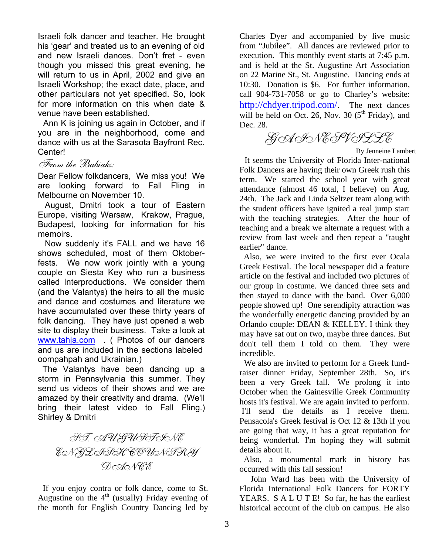Israeli folk dancer and teacher. He brought his 'gear' and treated us to an evening of old and new Israeli dances. Don't fret - even though you missed this great evening, he will return to us in April, 2002 and give an Israeli Workshop; the exact date, place, and other particulars not yet specified. So, look for more information on this when date & venue have been established.

 Ann K is joining us again in October, and if you are in the neighborhood, come and dance with us at the Sarasota Bayfront Rec. Center!

#### From the Babiaks:

Dear Fellow folkdancers, We miss you! We are looking forward to Fall Fling in Melbourne on November 10.

 August, Dmitri took a tour of Eastern Europe, visiting Warsaw, Krakow, Prague, Budapest, looking for information for his memoirs.

 Now suddenly it's FALL and we have 16 shows scheduled, most of them Oktoberfests. We now work jointly with a young couple on Siesta Key who run a business called Interproductions. We consider them (and the Valantys) the heirs to all the music and dance and costumes and literature we have accumulated over these thirty years of folk dancing. They have just opened a web site to display their business. Take a look at www.tahja.com (Photos of our dancers and us are included in the sections labeled oompahpah and Ukrainian.)

 The Valantys have been dancing up a storm in Pennsylvania this summer. They send us videos of their shows and we are amazed by their creativity and drama. (We'll bring their latest video to Fall Fling.) Shirley & Dmitri

ST. AUGUSTINE ENGLISH COUNTRY **DODONEE** 

 If you enjoy contra or folk dance, come to St. Augustine on the  $4<sup>th</sup>$  (usually) Friday evening of the month for English Country Dancing led by

Charles Dyer and accompanied by live music from "Jubilee". All dances are reviewed prior to execution. This monthly event starts at 7:45 p.m. and is held at the St. Augustine Art Association on 22 Marine St., St. Augustine. Dancing ends at 10:30. Donation is \$6. For further information, call 904-731-7058 or go to Charley's website: http://chdyer.tripod.com/. The next dances will be held on Oct. 26, Nov. 30  $(5<sup>th</sup> Friday)$ , and Dec. 28.

GAINESVILLE

By Jenneine Lambert

 It seems the University of Florida Inter-national Folk Dancers are having their own Greek rush this term. We started the school year with great attendance (almost 46 total, I believe) on Aug. 24th. The Jack and Linda Seltzer team along with the student officers have ignited a real jump start with the teaching strategies. After the hour of teaching and a break we alternate a request with a review from last week and then repeat a "taught earlier" dance.

 Also, we were invited to the first ever Ocala Greek Festival. The local newspaper did a feature article on the festival and included two pictures of our group in costume. We danced three sets and then stayed to dance with the band. Over 6,000 people showed up! One serendipity attraction was the wonderfully energetic dancing provided by an Orlando couple: DEAN & KELLEY. I think they may have sat out on two, maybe three dances. But don't tell them I told on them. They were incredible.

 We also are invited to perform for a Greek fundraiser dinner Friday, September 28th. So, it's been a very Greek fall. We prolong it into October when the Gainesville Greek Community hosts it's festival. We are again invited to perform. I'll send the details as I receive them. Pensacola's Greek festival is Oct 12 & 13th if you are going that way, it has a great reputation for being wonderful. I'm hoping they will submit details about it.

 Also, a monumental mark in history has occurred with this fall session!

 John Ward has been with the University of Florida International Folk Dancers for FORTY YEARS. S A L U T E! So far, he has the earliest historical account of the club on campus. He also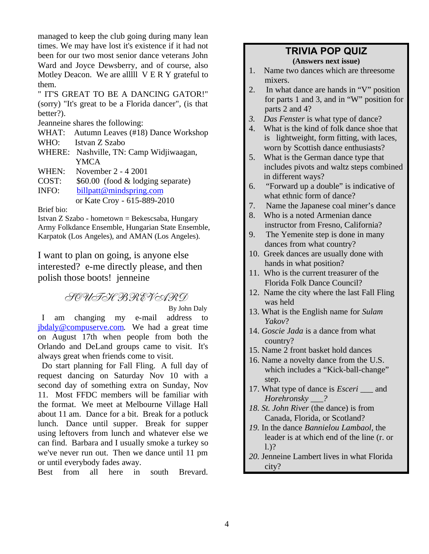managed to keep the club going during many lean times. We may have lost it's existence if it had not been for our two most senior dance veterans John Ward and Joyce Dewsberry, and of course, also Motley Deacon. We are alllll V E R Y grateful to them.

" IT'S GREAT TO BE A DANCING GATOR!" (sorry) "It's great to be a Florida dancer", (is that better?).

Jeanneine shares the following:

WHAT: Autumn Leaves (#18) Dance Workshop

- WHO: Istvan Z Szabo
- WHERE: Nashville, TN: Camp Widjiwaagan, YMCA
- WHEN: November 2 4 2001
- COST: \$60.00 (food & lodging separate)

INFO: billpatt@mindspring.com or Kate Croy - 615-889-2010

Brief bio:

Istvan Z Szabo - hometown = Bekescsaba, Hungary Army Folkdance Ensemble, Hungarian State Ensemble, Karpatok (Los Angeles), and AMAN (Los Angeles).

I want to plan on going, is anyone else interested? e-me directly please, and then polish those boots! jenneine

# SOUTH BREVARD

By John Daly

 I am changing my e-mail address to jbdaly@compuserve.com. We had a great time on August 17th when people from both the Orlando and DeLand groups came to visit. It's always great when friends come to visit.

 Do start planning for Fall Fling. A full day of request dancing on Saturday Nov 10 with a second day of something extra on Sunday, Nov 11. Most FFDC members will be familiar with the format. We meet at Melbourne Village Hall about 11 am. Dance for a bit. Break for a potluck lunch. Dance until supper. Break for supper using leftovers from lunch and whatever else we can find. Barbara and I usually smoke a turkey so we've never run out. Then we dance until 11 pm or until everybody fades away.

Best from all here in south Brevard.

## **TRIVIA POP QUIZ**

**(Answers next issue)**

- 1. Name two dances which are threesome mixers.
- 2. In what dance are hands in "V" position for parts 1 and 3, and in "W" position for parts 2 and 4?
- *3. Das Fenster* is what type of dance?
- 4. What is the kind of folk dance shoe that is lightweight, form fitting, with laces, worn by Scottish dance enthusiasts?
- 5. What is the German dance type that includes pivots and waltz steps combined in different ways?
- 6. "Forward up a double" is indicative of what ethnic form of dance?
- 7. Name the Japanese coal miner's dance
- 8. Who is a noted Armenian dance instructor from Fresno, California?
- 9. The Yemenite step is done in many dances from what country?
- 10. Greek dances are usually done with hands in what position?
- 11. Who is the current treasurer of the Florida Folk Dance Council?
- 12. Name the city where the last Fall Fling was held
- 13. What is the English name for *Sulam Yakov*?
- 14. *Goscie Jada* is a dance from what country?
- 15. Name 2 front basket hold dances
- 16. Name a novelty dance from the U.S. which includes a "Kick-ball-change" step.
- 17. What type of dance is *Esceri \_\_\_* and *Horehronsky \_\_\_?*
- *18. St. John River* (the dance) is from Canada, Florida, or Scotland?
- *19.* In the dance *Bannielou Lambaol,* the leader is at which end of the line (r. or l.)?
- *20.* Jenneine Lambert lives in what Florida city?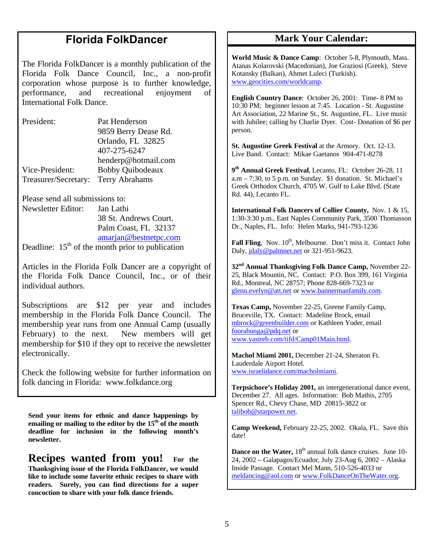# **Florida FolkDancer**

The Florida FolkDancer is a monthly publication of the Florida Folk Dance Council, Inc., a non-profit corporation whose purpose is to further knowledge, performance, and recreational enjoyment of International Folk Dance.

| President:           | Pat Henderson           |
|----------------------|-------------------------|
|                      | 9859 Berry Dease Rd.    |
|                      | Orlando, FL 32825       |
|                      | 407-275-6247            |
|                      | henderp@hotmail.com     |
| Vice-President:      | <b>Bobby Quibodeaux</b> |
| Treasurer/Secretary: | <b>Terry Abrahams</b>   |

Please send all submissions to:

Newsletter Editor: Jan Lathi 38 St. Andrews Court. Palm Coast, FL 32137 amarjan@bestnetpc.com Deadline:  $15<sup>th</sup>$  of the month prior to publication

Articles in the Florida Folk Dancer are a copyright of the Florida Folk Dance Council, Inc., or of their individual authors.

Subscriptions are \$12 per year and includes membership in the Florida Folk Dance Council. The membership year runs from one Annual Camp (usually February) to the next. New members will get membership for \$10 if they opt to receive the newsletter electronically.

Check the following website for further information on folk dancing in Florida: www.folkdance.org

**Send your items for ethnic and dance happenings by emailing or mailing to the editor by the 15th of the month deadline for inclusion in the following month's newsletter.** 

**Recipes wanted from you! For the Thanksgiving issue of the Florida FolkDancer, we would like to include some favorite ethnic recipes to share with readers. Surely, you can find directions for a super concoction to share with your folk dance friends.** 

#### **Mark Your Calendar:**

**World Music & Dance Camp**: October 5-8, Plymouth, Mass. Atanas Kolarovski (Macedonian), Joe Graziosi (Greek), Steve Kotansky (Balkan), Ahmet Luleci (Turkish). www.geocities.com/worldcamp.

**English Country Dance**: October 26, 2001: Time- 8 PM to 10:30 PM; beginner lesson at 7:45. Location - St. Augustine Art Association, 22 Marine St., St. Augustine, FL. Live music with Jubilee; calling by Charlie Dyer. Cost- Donation of \$6 per person.

**St. Augustine Greek Festival** at the Armory. Oct. 12-13. Live Band. Contact: Mikae Gaetanos 904-471-8278

**9 th Annual Greek Festival**, Lecanto, FL: October 26-28, 11  $a.m - 7:30$ , to 5 p.m. on Sunday. \$1 donation. St. Michael's Greek Orthodox Church, 4705 W. Gulf to Lake Blvd. (State Rd. 44), Lecanto FL.

**International Folk Dancers of Collier County,** Nov. 1 & 15, 1:30-3:30 p.m., East Naples Community Park, 3500 Thomasson Dr., Naples, FL. Info: Helen Marks, 941-793-1236

Fall Fling, Nov. 10<sup>th</sup>, Melbourne. Don't miss it. Contact John Daly, jdaly@palmnet.net or 321-951-9623.

**32nd Annual Thanksgiving Folk Dance Camp,** November 22- 25, Black Mountin, NC. Contact: P.O. Box 399, 161 Virginia Rd., Montreal, NC 28757; Phone 828-669-7323 or glenn.evelyn@att.net or www.bannermanfamily.com.

**Texas Camp,** November 22-25, Greene Family Camp, Bruceville, TX. Contact: Madeline Brock, email mbrock@greenbuilder.com or Kathleen Yoder, email foorabunga@pdq.net or www.yastreb.com/tifd/Camp01Main.html.

**Machol Miami 2001,** December 21-24, Sheraton Ft. Lauderdale Airport Hotel. www.israelidance.com/macholmiami.

**Terpsichore's Holiday 2001,** an intergenerational dance event, December 27. All ages. Information: Bob Mathis, 2705 Spencer Rd., Chevy Chase, MD 20815-3822 or talibob@starpower.net.

**Camp Weekend,** February 22-25, 2002. Okala, FL. Save this date!

**Dance on the Water, 18<sup>th</sup> annual folk dance cruises. June 10-**24, 2002 – Galapagos/Ecuador, July 23-Aug 6, 2002 – Alaska Inside Passage. Contact Mel Mann, 510-526-4033 or meldancing@aol.com or www.FolkDanceOnTheWater.org.